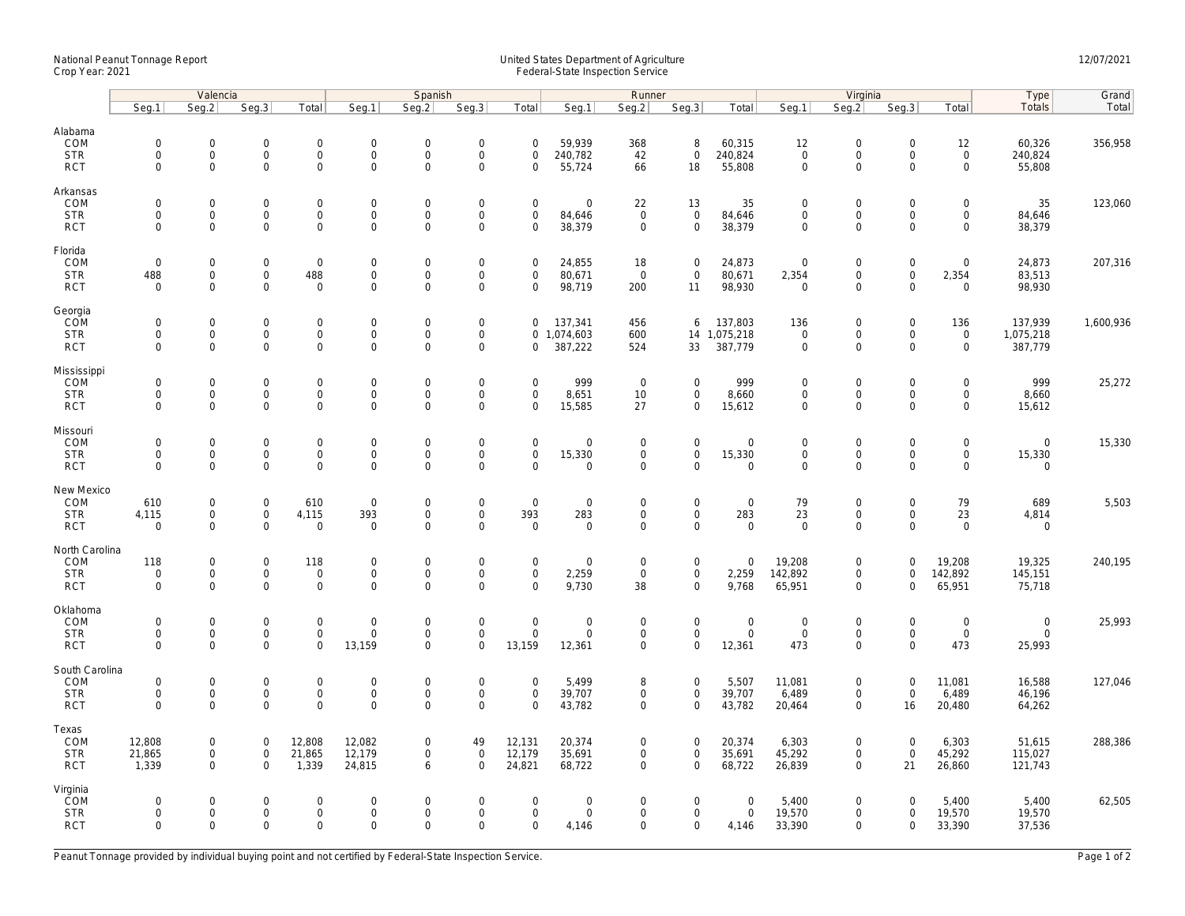## National Peanut Tonnage Report United States Department of Agriculture 12/07/2021<br>Crop Year: 2021 Federal-State Inspection Service

|                                                    | Valencia                                  |                                                            |                                                   | Spanish                                                    |                                                 |                                                   |                                                           | Runner                                            |                                                      |                                                   |                                                    | Virginia                                  |                                                   |                                                                   |                                                     | Type                                                       | Grand                                 |           |
|----------------------------------------------------|-------------------------------------------|------------------------------------------------------------|---------------------------------------------------|------------------------------------------------------------|-------------------------------------------------|---------------------------------------------------|-----------------------------------------------------------|---------------------------------------------------|------------------------------------------------------|---------------------------------------------------|----------------------------------------------------|-------------------------------------------|---------------------------------------------------|-------------------------------------------------------------------|-----------------------------------------------------|------------------------------------------------------------|---------------------------------------|-----------|
|                                                    | Seq.1                                     | Seg.2                                                      | Seq.3                                             | Total                                                      | Seg.1                                           | Seq.2                                             | Seq.3                                                     | Total                                             | Seg.1                                                | Seq.2                                             | Seq.3                                              | Total                                     | Seg.1                                             | Seq.2                                                             | Seq.3                                               | Total                                                      | Totals                                | Total     |
| Alabama<br>COM<br><b>STR</b><br><b>RCT</b>         | $\mathbf 0$<br>$\mathbf 0$<br>$\mathbf 0$ | $\mathbf 0$<br>0<br>$\mathbf 0$                            | $\mathbf 0$<br>$\mathsf{O}\xspace$<br>$\mathbf 0$ | $\mathbf 0$<br>$\mathsf{O}\xspace$<br>$\mathbf 0$          | $\mathsf{O}$<br>$\mathsf{O}$<br>$\mathsf{O}$    | $\mathbf 0$<br>$\mathsf 0$<br>$\mathbf 0$         | $\mathbf 0$<br>$\mathsf{O}\xspace$<br>$\mathbf 0$         | $\mathbf 0$<br>$\mathbf 0$<br>$\mathbf 0$         | 59,939<br>240,782<br>55,724                          | 368<br>42<br>66                                   | 8<br>$\mathsf{O}\xspace$<br>18                     | 60,315<br>240,824<br>55,808               | 12<br>$\mathsf{O}\xspace$<br>$\mathbf 0$          | $\Omega$<br>$\mathsf{O}$<br>$\mathbf 0$                           | $\mathbf 0$<br>$\mathsf 0$<br>$\mathbf 0$           | 12<br>$\mathsf{O}\xspace$<br>$\mathsf{O}$                  | 60,326<br>240,824<br>55,808           | 356,958   |
| Arkansas<br>COM<br><b>STR</b><br><b>RCT</b>        | $\mathbf 0$<br>$\mathbf 0$<br>$\mathbf 0$ | $\mathsf{O}\xspace$<br>$\mathsf{O}$<br>$\mathbf 0$         | $\mathbf 0$<br>$\mathbf 0$<br>$\mathbf 0$         | $\mathsf{O}\xspace$<br>$\mathbf 0$<br>$\mathbf 0$          | $\mathbf 0$<br>$\mathsf{O}$<br>$\mathsf{O}$     | $\mathbf 0$<br>$\mathbf 0$<br>$\mathsf 0$         | $\mathsf{O}\xspace$<br>$\mathsf 0$<br>$\mathsf 0$         | $\mathsf 0$<br>$\mathbf 0$<br>$\mathbf 0$         | $\mathsf{O}\xspace$<br>84,646<br>38,379              | 22<br>$\mathbf 0$<br>$\mathbf 0$                  | 13<br>$\mathsf 0$<br>$\mathbf 0$                   | 35<br>84,646<br>38,379                    | $\mathbf 0$<br>$\mathbf 0$<br>$\mathbf 0$         | $\mathsf{O}\xspace$<br>$\mathsf{O}$<br>$\mathsf{O}\xspace$        | $\mathbf 0$<br>$\mathbf 0$<br>$\mathbf 0$           | $\mathsf{O}\xspace$<br>$\mathsf{O}$<br>$\mathbf{0}$        | 35<br>84,646<br>38,379                | 123,060   |
| Florida<br>COM<br><b>STR</b><br><b>RCT</b>         | $\mathbf 0$<br>488<br>$\mathbf 0$         | $\mathbf 0$<br>$\mathsf{O}$<br>$\mathbf 0$                 | $\mathbf 0$<br>$\mathsf{O}\xspace$<br>$\Omega$    | $\mathsf 0$<br>488<br>$\mathbf 0$                          | $\boldsymbol{0}$<br>$\mathsf{O}$<br>$\mathbf 0$ | $\mathbf 0$<br>$\mathsf{O}\xspace$<br>$\mathbf 0$ | $\mathsf{O}\xspace$<br>$\mathsf 0$<br>$\mathbf 0$         | $\mathbf 0$<br>$\mathbf 0$<br>$\Omega$            | 24,855<br>80,671<br>98,719                           | 18<br>$\mathbf 0$<br>200                          | $\mathbf 0$<br>$\mathsf 0$<br>11                   | 24,873<br>80,671<br>98,930                | $\mathbf 0$<br>2,354<br>$\overline{0}$            | $\mathbf 0$<br>$\mathsf{O}$<br>$\mathbf 0$                        | $\boldsymbol{0}$<br>$\mathsf{O}\xspace$<br>$\Omega$ | $\mathsf{O}\xspace$<br>2,354<br>$\mathbf 0$                | 24,873<br>83,513<br>98,930            | 207,316   |
| Georgia<br>COM<br><b>STR</b><br><b>RCT</b>         | $\mathbf 0$<br>$\mathbf 0$<br>$\mathbf 0$ | $\mathbf 0$<br>$\mathsf{O}\xspace$<br>$\mathbf 0$          | $\mathbf 0$<br>$\mathbf 0$<br>$\mathbf 0$         | $\mathsf{O}\xspace$<br>$\mathbf 0$<br>$\mathbf 0$          | $\boldsymbol{0}$<br>$\mathbf 0$<br>$\mathbf 0$  | $\mathbf 0$<br>$\mathsf 0$<br>$\mathbf 0$         | $\mathsf{O}\xspace$<br>$\mathsf 0$<br>$\mathbf 0$         | 0<br>0                                            | 137,341<br>0 1,074,603<br>387,222                    | 456<br>600<br>524                                 | 6<br>33                                            | 137,803<br>14 1,075,218<br>387,779        | 136<br>$\mathbf 0$<br>$\mathbf 0$                 | $\mathsf{O}\xspace$<br>$\mathsf{O}\xspace$<br>$\mathbf 0$         | $\mathsf 0$<br>$\mathsf 0$<br>$\Omega$              | 136<br>$\mathbf 0$<br>$\mathbf 0$                          | 137,939<br>1,075,218<br>387,779       | 1,600,936 |
| Mississippi<br>COM<br><b>STR</b><br><b>RCT</b>     | $\mathbf 0$<br>$\mathbf 0$<br>$\mathbf 0$ | $\mathbf 0$<br>$\mathsf{O}\xspace$<br>$\mathbf{0}$         | $\mathbf 0$<br>$\mathbf 0$<br>$\mathbf 0$         | $\mathbf 0$<br>$\mathsf{O}\xspace$<br>$\mathbf 0$          | $\mathsf{O}$<br>$\mathsf{O}$<br>$\mathbf 0$     | $\mathbf 0$<br>$\mathsf 0$<br>$\mathbf 0$         | $\mathsf{O}\xspace$<br>$\mathsf{O}\xspace$<br>$\mathbf 0$ | $\mathbf 0$<br>$\mathbf 0$<br>$\mathbf 0$         | 999<br>8,651<br>15,585                               | $\overline{0}$<br>10<br>27                        | $\mathbf 0$<br>$\mathbf 0$<br>$\mathbf 0$          | 999<br>8,660<br>15,612                    | $\mathbf 0$<br>$\mathsf{O}\xspace$<br>$\mathbf 0$ | $\mathbf 0$<br>$\mathsf{O}\xspace$<br>$\mathbf 0$                 | $\mathbf 0$<br>$\mathbf 0$<br>$\Omega$              | $\mathbf 0$<br>$\mathbf 0$<br>$\mathbf 0$                  | 999<br>8,660<br>15,612                | 25,272    |
| Missouri<br>COM<br><b>STR</b><br><b>RCT</b>        | $\mathbf 0$<br>$\mathbf 0$<br>$\mathbf 0$ | $\mathsf{O}\xspace$<br>$\mathsf{O}\xspace$<br>$\mathbf 0$  | $\mathbf 0$<br>$\mathbf 0$<br>$\mathbf 0$         | $\mathsf{O}\xspace$<br>$\mathsf{O}\xspace$<br>$\mathbf 0$  | $\mathbf 0$<br>$\boldsymbol{0}$<br>$\mathbf 0$  | $\mathbf 0$<br>$\mathbf 0$<br>$\mathbf 0$         | $\mathsf{O}\xspace$<br>$\mathsf{O}\xspace$<br>$\mathbf 0$ | $\mathsf 0$<br>$\mathsf{O}\xspace$<br>$\mathbf 0$ | $\mathsf{O}\xspace$<br>15,330<br>$\mathbf 0$         | $\mathsf 0$<br>$\mathsf{O}\xspace$<br>$\mathbf 0$ | $\mathbf 0$<br>$\mathsf{O}\xspace$<br>$\mathbf{0}$ | $\mathbf 0$<br>15,330<br>$\mathbf{0}$     | $\mathbf 0$<br>$\mathsf{O}\xspace$<br>$\mathbf 0$ | $\mathbf 0$<br>$\mathsf{O}\xspace$<br>$\mathbf 0$                 | $\mathsf 0$<br>$\mathbf 0$<br>$\mathbf 0$           | $\mathsf{O}\xspace$<br>$\mathsf{O}\xspace$<br>$\mathbf{0}$ | $\mathbf{0}$<br>15,330<br>$\mathbf 0$ | 15,330    |
| New Mexico<br>COM<br><b>STR</b><br><b>RCT</b>      | 610<br>4,115<br>$\mathbf 0$               | $\mathbf 0$<br>$\mathbf 0$<br>$\mathbf 0$                  | $\mathbf 0$<br>$\mathbf 0$<br>$\mathbf 0$         | 610<br>4,115<br>$\mathbf 0$                                | $\mathbf 0$<br>393<br>$\mathsf{O}$              | $\mathbf 0$<br>$\mathbf 0$<br>0                   | $\mathsf{O}\xspace$<br>$\mathbf 0$<br>$\Omega$            | $\mathsf 0$<br>393<br>$\mathbf 0$                 | $\mathbf 0$<br>283<br>$\mathbf 0$                    | $\mathbf 0$<br>$\mathbf 0$<br>0                   | $\mathsf{O}\xspace$<br>$\mathbf{0}$<br>$\mathbf 0$ | $\mathbf 0$<br>283<br>$\mathbf 0$         | 79<br>23<br>$\mathbf 0$                           | $\mathbf 0$<br>$\mathsf{O}\xspace$<br>$\mathsf{O}\xspace$         | $\mathbf 0$<br>$\mathbf 0$<br>$\Omega$              | 79<br>23<br>$\mathbf 0$                                    | 689<br>4,814<br>$\mathbf 0$           | 5,503     |
| North Carolina<br>COM<br><b>STR</b><br><b>RCT</b>  | 118<br>$\mathbf 0$<br>$\mathbf 0$         | $\mathsf{O}\xspace$<br>$\mathsf{O}\xspace$<br>$\mathbf{0}$ | $\mathbf 0$<br>$\mathsf{O}\xspace$<br>$\mathbf 0$ | 118<br>$\mathbf 0$<br>$\mathbf 0$                          | $\mathbf 0$<br>$\mathsf{O}$<br>$\overline{0}$   | $\mathbf 0$<br>$\mathbf 0$<br>$\mathbf 0$         | $\mathsf{O}\xspace$<br>$\mathsf 0$<br>$\mathbf 0$         | $\mathsf 0$<br>$\mathsf 0$<br>$\Omega$            | $\mathsf{O}\xspace$<br>2,259<br>9,730                | $\mathbf 0$<br>$\mathbf 0$<br>38                  | $\mathsf{O}\xspace$<br>$\mathbf 0$<br>$\mathbf{0}$ | $\mathbf 0$<br>2,259<br>9,768             | 19,208<br>142,892<br>65,951                       | $\mathsf{O}\xspace$<br>$\mathsf{O}\xspace$<br>$\mathbf 0$         | $\mathsf 0$<br>$\mathbf 0$<br>0                     | 19,208<br>142,892<br>65,951                                | 19,325<br>145,151<br>75,718           | 240,195   |
| Oklahoma<br>COM<br><b>STR</b><br><b>RCT</b>        | $\mathbf 0$<br>$\mathbf 0$<br>$\Omega$    | 0<br>$\mathsf{O}\xspace$<br>$\mathbf 0$                    | $\mathbf 0$<br>$\mathbf 0$<br>$\mathbf 0$         | $\mathsf{O}\xspace$<br>$\mathbf 0$<br>$\mathbf{O}$         | $\boldsymbol{0}$<br>$\mathbf 0$<br>13,159       | $\mathbf 0$<br>$\mathbf 0$<br>$\Omega$            | $\mathsf{O}\xspace$<br>$\mathsf 0$<br>$\mathbf 0$         | $\mathbf 0$<br>$\mathbf 0$<br>13,159              | $\mathsf{O}\xspace$<br>$\mathsf{O}\xspace$<br>12,361 | $\mathbf 0$<br>$\mathbf 0$<br>$\mathbf 0$         | $\mathsf{O}\xspace$<br>$\mathbf 0$<br>$\mathbf{0}$ | $\boldsymbol{0}$<br>$\mathbf 0$<br>12,361 | $\mathbf 0$<br>$\mathsf{O}\xspace$<br>473         | $\mathsf{O}\xspace$<br>$\mathsf{O}\xspace$<br>$\mathsf{O}\xspace$ | $\mathbf 0$<br>$\mathbf 0$<br>$\Omega$              | $\mathsf{O}\xspace$<br>$\mathbf 0$<br>473                  | $\mathbf 0$<br>$\mathbf 0$<br>25,993  | 25,993    |
| South Carolina<br>COM<br><b>STR</b><br><b>RCT</b>  | $\mathbf 0$<br>$\mathbf 0$<br>$\mathbf 0$ | $\mathsf{O}\xspace$<br>$\mathsf{O}\xspace$<br>$\mathbf 0$  | $\mathbf 0$<br>$\mathsf 0$<br>$\mathbf 0$         | $\mathsf{O}\xspace$<br>$\mathsf{O}\xspace$<br>$\mathbf{O}$ | $\mathbf 0$<br>$\mathbf 0$<br>$\mathbf 0$       | $\mathbf 0$<br>$\mathbf 0$<br>$\mathbf 0$         | $\mathsf{O}\xspace$<br>$\mathsf{O}\xspace$<br>$\mathbf 0$ | $\mathbf 0$<br>$\mathsf 0$<br>$\Omega$            | 5,499<br>39,707<br>43,782                            | 8<br>$\mathbf 0$<br>$\mathbf 0$                   | $\mathsf{O}\xspace$<br>$\mathbf 0$<br>$\mathbf 0$  | 5,507<br>39,707<br>43,782                 | 11,081<br>6,489<br>20,464                         | $\mathsf{O}\xspace$<br>$\mathsf{O}\xspace$<br>$\mathbf 0$         | $\mathbf 0$<br>$\mathsf 0$<br>16                    | 11,081<br>6,489<br>20,480                                  | 16,588<br>46,196<br>64,262            | 127,046   |
| Texas<br>COM<br><b>STR</b><br><b>RCT</b>           | 12,808<br>21,865<br>1,339                 | $\mathsf{O}\xspace$<br>$\mathbf 0$<br>$\mathbf{0}$         | $\mathsf{O}\xspace$<br>$\mathbf 0$<br>$\mathbf 0$ | 12,808<br>21,865<br>1,339                                  | 12,082<br>12,179<br>24,815                      | $\mathbf 0$<br>$\mathbf{0}$<br>6                  | 49<br>$\mathbf 0$<br>$\mathbf 0$                          | 12,131<br>12,179<br>24,821                        | 20,374<br>35,691<br>68,722                           | 0<br>$\mathbf 0$<br>$\mathbf 0$                   | $\mathbf 0$<br>$\mathbf{0}$<br>$\mathbf{0}$        | 20,374<br>35,691<br>68,722                | 6,303<br>45,292<br>26,839                         | $\mathsf{O}\xspace$<br>$\mathbf 0$<br>$\mathbf 0$                 | $\mathbf 0$<br>$\mathbf 0$<br>21                    | 6,303<br>45,292<br>26,860                                  | 51,615<br>115,027<br>121,743          | 288,386   |
| Virginia<br><b>COM</b><br><b>STR</b><br><b>RCT</b> | $\mathbf 0$<br>$\mathbf 0$<br>$\Omega$    | $\mathsf{O}\xspace$<br>$\mathsf{O}\xspace$<br>$\Omega$     | $\mathbf 0$<br>$\mathbf 0$<br>$\Omega$            | $\mathsf{O}\xspace$<br>$\mathsf{O}\xspace$<br>$\mathbf 0$  | $\mathbf 0$<br>$\mathbf 0$<br>$\Omega$          | $\mathbf 0$<br>$\mathbf 0$<br>$\Omega$            | $\mathsf{O}\xspace$<br>$\mathsf{O}\xspace$<br>$\Omega$    | $\mathbf 0$<br>$\mathbf 0$<br>$\Omega$            | $\mathsf{O}\xspace$<br>$\mathsf{O}\xspace$<br>4,146  | 0<br>$\mathbf 0$<br>$\Omega$                      | $\mathbf 0$<br>$\mathbf 0$<br>$\mathbf 0$          | $\mathbf 0$<br>$\mathbf 0$<br>4,146       | 5,400<br>19,570<br>33,390                         | $\mathsf{O}\xspace$<br>$\mathsf{O}\xspace$<br>$\Omega$            | $\mathbf 0$<br>$\mathbf 0$<br>$\Omega$              | 5,400<br>19,570<br>33,390                                  | 5,400<br>19,570<br>37,536             | 62,505    |

Peanut Tonnage provided by individual buying point and not certified by Federal-State Inspection Service. Page 1 of 2